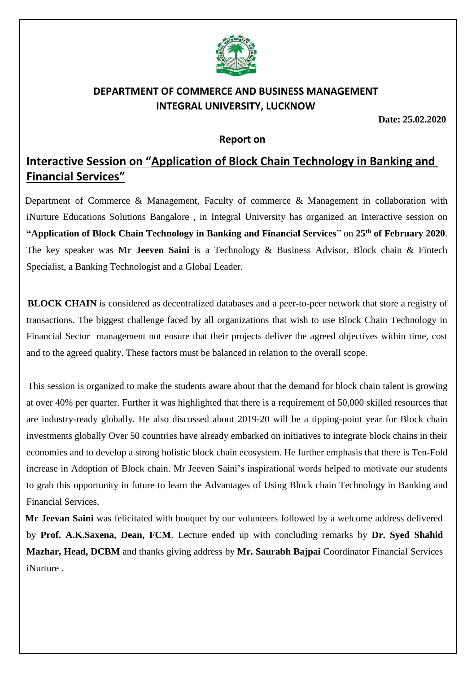

## **DEPARTMENT OF COMMERCE AND BUSINESS MANAGEMENT INTEGRAL UNIVERSITY, LUCKNOW**

**Date: 25.02.2020**

## **Report on**

## **Interactive Session on "Application of Block Chain Technology in Banking and Financial Services"**

Department of Commerce & Management, Faculty of commerce & Management in collaboration with iNurture Educations Solutions Bangalore , in Integral University has organized an Interactive session on **"Application of Block Chain Technology in Banking and Financial Services**" on **25 th of February 2020**. The key speaker was **Mr Jeeven Saini** is a Technology & Business Advisor, Block chain & Fintech Specialist, a Banking Technologist and a Global Leader.

**BLOCK CHAIN** is considered as decentralized databases and a peer-to-peer network that store a registry of transactions. The biggest challenge faced by all organizations that wish to use Block Chain Technology in Financial Sector management not ensure that their projects deliver the agreed objectives within time, cost and to the agreed quality. These factors must be balanced in relation to the overall scope.

This session is organized to make the students aware about that the demand for block chain talent is growing at over 40% per quarter. Further it was highlighted that there is a requirement of 50,000 skilled resources that are industry-ready globally. He also discussed about 2019-20 will be a tipping-point year for Block chain investments globally Over 50 countries have already embarked on initiatives to integrate block chains in their economies and to develop a strong holistic block chain ecosystem. He further emphasis that there is Ten-Fold increase in Adoption of Block chain. Mr Jeeven Saini's inspirational words helped to motivate our students to grab this opportunity in future to learn the Advantages of Using Block chain Technology in Banking and Financial Services.

**Mr Jeevan Saini** was felicitated with bouquet by our volunteers followed by a welcome address delivered by **Prof. A.K.Saxena, Dean, FCM**. Lecture ended up with concluding remarks by **Dr. Syed Shahid Mazhar, Head, DCBM** and thanks giving address by **Mr. Saurabh Bajpai** Coordinator Financial Services iNurture .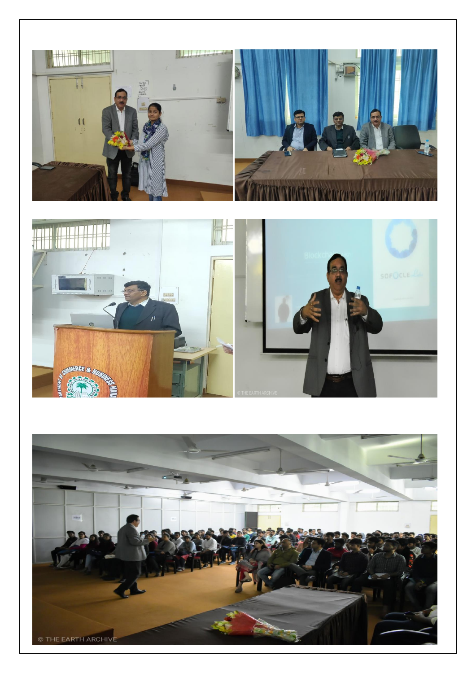